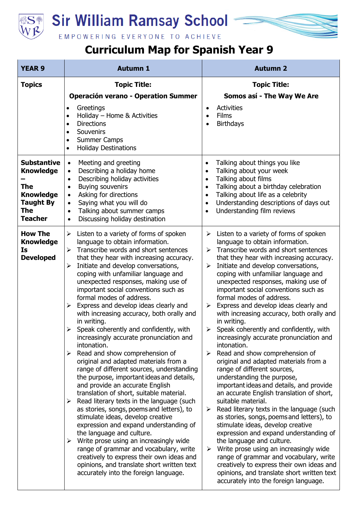

## **Sir William Ramsay School**

## EMPOWERING EVERYONE TO ACHIEVE

## **Curriculum Map for Spanish Year 9**

| <b>YEAR 9</b>                                                                                                                | <b>Autumn 1</b>                                                                                                                                                                                                                                                                                                                                                                                                                                                                                                                                                                                                                                                                                                                                                                                                                                                                                                                                                                                                                                                                                                                                                                                                                                                                                                      | <b>Autumn 2</b>                                                                                                                                                                                                                                                                                                                                                                                                                                                                                                                                                                                                                                                                                                                                                                                                                                                                                                                                                                                                                                                                                                                                                                                                                                                                                          |
|------------------------------------------------------------------------------------------------------------------------------|----------------------------------------------------------------------------------------------------------------------------------------------------------------------------------------------------------------------------------------------------------------------------------------------------------------------------------------------------------------------------------------------------------------------------------------------------------------------------------------------------------------------------------------------------------------------------------------------------------------------------------------------------------------------------------------------------------------------------------------------------------------------------------------------------------------------------------------------------------------------------------------------------------------------------------------------------------------------------------------------------------------------------------------------------------------------------------------------------------------------------------------------------------------------------------------------------------------------------------------------------------------------------------------------------------------------|----------------------------------------------------------------------------------------------------------------------------------------------------------------------------------------------------------------------------------------------------------------------------------------------------------------------------------------------------------------------------------------------------------------------------------------------------------------------------------------------------------------------------------------------------------------------------------------------------------------------------------------------------------------------------------------------------------------------------------------------------------------------------------------------------------------------------------------------------------------------------------------------------------------------------------------------------------------------------------------------------------------------------------------------------------------------------------------------------------------------------------------------------------------------------------------------------------------------------------------------------------------------------------------------------------|
| <b>Topics</b>                                                                                                                | <b>Topic Title:</b>                                                                                                                                                                                                                                                                                                                                                                                                                                                                                                                                                                                                                                                                                                                                                                                                                                                                                                                                                                                                                                                                                                                                                                                                                                                                                                  | <b>Topic Title:</b>                                                                                                                                                                                                                                                                                                                                                                                                                                                                                                                                                                                                                                                                                                                                                                                                                                                                                                                                                                                                                                                                                                                                                                                                                                                                                      |
|                                                                                                                              | <b>Operación verano - Operation Summer</b><br>Greetings<br>$\bullet$<br>Holiday - Home & Activities<br>$\bullet$<br><b>Directions</b><br>$\bullet$<br>Souvenirs<br>$\bullet$<br><b>Summer Camps</b><br>$\bullet$<br><b>Holiday Destinations</b><br>$\bullet$                                                                                                                                                                                                                                                                                                                                                                                                                                                                                                                                                                                                                                                                                                                                                                                                                                                                                                                                                                                                                                                         | Somos así - The Way We Are<br>Activities<br>$\bullet$<br><b>Films</b><br>$\bullet$<br><b>Birthdays</b><br>$\bullet$                                                                                                                                                                                                                                                                                                                                                                                                                                                                                                                                                                                                                                                                                                                                                                                                                                                                                                                                                                                                                                                                                                                                                                                      |
| <b>Substantive</b><br><b>Knowledge</b><br><b>The</b><br><b>Knowledge</b><br><b>Taught By</b><br><b>The</b><br><b>Teacher</b> | Meeting and greeting<br>$\bullet$<br>Describing a holiday home<br>$\bullet$<br>Describing holiday activities<br>$\bullet$<br><b>Buying souvenirs</b><br>$\bullet$<br>Asking for directions<br>$\bullet$<br>Saying what you will do<br>$\bullet$<br>Talking about summer camps<br>$\bullet$<br>Discussing holiday destination<br>$\bullet$                                                                                                                                                                                                                                                                                                                                                                                                                                                                                                                                                                                                                                                                                                                                                                                                                                                                                                                                                                            | Talking about things you like<br>$\bullet$<br>Talking about your week<br>$\bullet$<br>Talking about films<br>$\bullet$<br>Talking about a birthday celebration<br>$\bullet$<br>Talking about life as a celebrity<br>$\bullet$<br>Understanding descriptions of days out<br>$\bullet$<br>Understanding film reviews<br>$\bullet$                                                                                                                                                                                                                                                                                                                                                                                                                                                                                                                                                                                                                                                                                                                                                                                                                                                                                                                                                                          |
| <b>How The</b><br><b>Knowledge</b><br><b>Is</b><br><b>Developed</b>                                                          | Listen to a variety of forms of spoken<br>➤<br>language to obtain information.<br>Transcribe words and short sentences<br>$\blacktriangleright$<br>that they hear with increasing accuracy.<br>Initiate and develop conversations,<br>≻<br>coping with unfamiliar language and<br>unexpected responses, making use of<br>important social conventions such as<br>formal modes of address.<br>Express and develop ideas clearly and<br>≻<br>with increasing accuracy, both orally and<br>in writing.<br>Speak coherently and confidently, with<br>increasingly accurate pronunciation and<br>intonation.<br>Read and show comprehension of<br>≻<br>original and adapted materials from a<br>range of different sources, understanding<br>the purpose, important ideas and details,<br>and provide an accurate English<br>translation of short, suitable material.<br>$\triangleright$ Read literary texts in the language (such<br>as stories, songs, poems and letters), to<br>stimulate ideas, develop creative<br>expression and expand understanding of<br>the language and culture.<br>Write prose using an increasingly wide<br>➤<br>range of grammar and vocabulary, write<br>creatively to express their own ideas and<br>opinions, and translate short written text<br>accurately into the foreign language. | Listen to a variety of forms of spoken<br>➤<br>language to obtain information.<br>$\triangleright$ Transcribe words and short sentences<br>that they hear with increasing accuracy.<br>Initiate and develop conversations,<br>≻<br>coping with unfamiliar language and<br>unexpected responses, making use of<br>important social conventions such as<br>formal modes of address.<br>Express and develop ideas clearly and<br>➤<br>with increasing accuracy, both orally and<br>in writing.<br>Speak coherently and confidently, with<br>➤<br>increasingly accurate pronunciation and<br>intonation.<br>Read and show comprehension of<br>➤<br>original and adapted materials from a<br>range of different sources,<br>understanding the purpose,<br>important ideas and details, and provide<br>an accurate English translation of short,<br>suitable material.<br>Read literary texts in the language (such<br>➤<br>as stories, songs, poems and letters), to<br>stimulate ideas, develop creative<br>expression and expand understanding of<br>the language and culture.<br>Write prose using an increasingly wide<br>➤<br>range of grammar and vocabulary, write<br>creatively to express their own ideas and<br>opinions, and translate short written text<br>accurately into the foreign language. |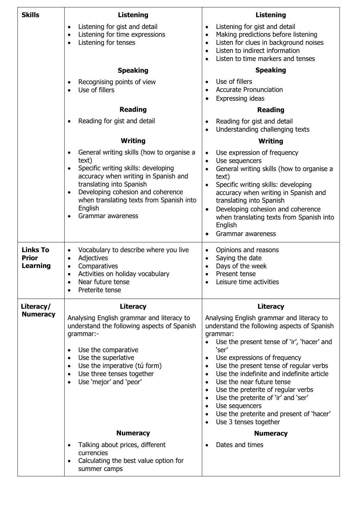| <b>Skills</b>                                      | <b>Listening</b>                                                                                                                                                                                                                                                                               | <b>Listening</b>                                                                                                                                                                                                                                                                                                                                                                                                                                                                                                                                                                                         |
|----------------------------------------------------|------------------------------------------------------------------------------------------------------------------------------------------------------------------------------------------------------------------------------------------------------------------------------------------------|----------------------------------------------------------------------------------------------------------------------------------------------------------------------------------------------------------------------------------------------------------------------------------------------------------------------------------------------------------------------------------------------------------------------------------------------------------------------------------------------------------------------------------------------------------------------------------------------------------|
|                                                    | Listening for gist and detail<br>$\bullet$<br>Listening for time expressions<br>$\bullet$<br>Listening for tenses<br>$\bullet$                                                                                                                                                                 | Listening for gist and detail<br>$\bullet$<br>Making predictions before listening<br>$\bullet$<br>Listen for clues in background noises<br>$\bullet$<br>Listen to indirect information<br>$\bullet$<br>Listen to time markers and tenses<br>$\bullet$                                                                                                                                                                                                                                                                                                                                                    |
|                                                    | <b>Speaking</b>                                                                                                                                                                                                                                                                                | <b>Speaking</b>                                                                                                                                                                                                                                                                                                                                                                                                                                                                                                                                                                                          |
|                                                    | Recognising points of view<br>$\bullet$<br>Use of fillers<br>$\bullet$                                                                                                                                                                                                                         | Use of fillers<br>$\bullet$<br><b>Accurate Pronunciation</b><br>$\bullet$<br><b>Expressing ideas</b><br>$\bullet$                                                                                                                                                                                                                                                                                                                                                                                                                                                                                        |
|                                                    | <b>Reading</b>                                                                                                                                                                                                                                                                                 | <b>Reading</b>                                                                                                                                                                                                                                                                                                                                                                                                                                                                                                                                                                                           |
|                                                    | Reading for gist and detail<br>$\bullet$                                                                                                                                                                                                                                                       | Reading for gist and detail<br>$\bullet$<br>Understanding challenging texts                                                                                                                                                                                                                                                                                                                                                                                                                                                                                                                              |
|                                                    | Writing                                                                                                                                                                                                                                                                                        | Writing                                                                                                                                                                                                                                                                                                                                                                                                                                                                                                                                                                                                  |
|                                                    | General writing skills (how to organise a<br>text)<br>Specific writing skills: developing<br>$\bullet$<br>accuracy when writing in Spanish and<br>translating into Spanish<br>Developing cohesion and coherence<br>when translating texts from Spanish into<br>English<br>Grammar awareness    | Use expression of frequency<br>$\bullet$<br>Use sequencers<br>$\bullet$<br>General writing skills (how to organise a<br>$\bullet$<br>text)<br>Specific writing skills: developing<br>$\bullet$<br>accuracy when writing in Spanish and<br>translating into Spanish<br>Developing cohesion and coherence<br>$\bullet$<br>when translating texts from Spanish into<br>English<br>Grammar awareness<br>٠                                                                                                                                                                                                    |
| <b>Links To</b><br><b>Prior</b><br><b>Learning</b> | Vocabulary to describe where you live<br>$\bullet$<br>Adjectives<br>$\bullet$<br>Comparatives<br>$\bullet$<br>Activities on holiday vocabulary<br>$\bullet$<br>Near future tense<br>Preterite tense<br>$\bullet$                                                                               | Opinions and reasons<br>$\bullet$<br>Saying the date<br>$\bullet$<br>Days of the week<br>$\bullet$<br>Present tense<br>$\bullet$<br>Leisure time activities                                                                                                                                                                                                                                                                                                                                                                                                                                              |
| Literacy/                                          | Literacy                                                                                                                                                                                                                                                                                       | <b>Literacy</b>                                                                                                                                                                                                                                                                                                                                                                                                                                                                                                                                                                                          |
| <b>Numeracy</b>                                    | Analysing English grammar and literacy to<br>understand the following aspects of Spanish<br>grammar:-<br>Use the comparative<br>$\bullet$<br>Use the superlative<br>$\bullet$<br>Use the imperative (tú form)<br>$\bullet$<br>Use three tenses together<br>$\bullet$<br>Use 'mejor' and 'peor' | Analysing English grammar and literacy to<br>understand the following aspects of Spanish<br>grammar:<br>Use the present tense of 'ir', 'hacer' and<br>'ser'<br>Use expressions of frequency<br>$\bullet$<br>Use the present tense of regular verbs<br>$\bullet$<br>Use the indefinite and indefinite article<br>$\bullet$<br>Use the near future tense<br>$\bullet$<br>Use the preterite of regular verbs<br>$\bullet$<br>Use the preterite of 'ir' and 'ser'<br>$\bullet$<br>Use sequencers<br>$\bullet$<br>Use the preterite and present of 'hacer'<br>$\bullet$<br>Use 3 tenses together<br>$\bullet$ |
|                                                    | <b>Numeracy</b>                                                                                                                                                                                                                                                                                | <b>Numeracy</b>                                                                                                                                                                                                                                                                                                                                                                                                                                                                                                                                                                                          |
|                                                    | Talking about prices, different<br>$\bullet$<br>currencies<br>Calculating the best value option for<br>summer camps                                                                                                                                                                            | Dates and times                                                                                                                                                                                                                                                                                                                                                                                                                                                                                                                                                                                          |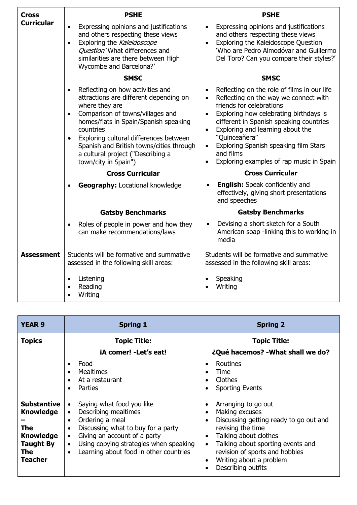| Cross             | <b>PSHE</b>                                                                                                                                                                                                                                                                                                                                                                                    | <b>PSHE</b>                                                                                                                                                                                                                                                                                                                                                                                                       |
|-------------------|------------------------------------------------------------------------------------------------------------------------------------------------------------------------------------------------------------------------------------------------------------------------------------------------------------------------------------------------------------------------------------------------|-------------------------------------------------------------------------------------------------------------------------------------------------------------------------------------------------------------------------------------------------------------------------------------------------------------------------------------------------------------------------------------------------------------------|
| <b>Curricular</b> | Expressing opinions and justifications<br>and others respecting these views<br>Exploring the Kaleidoscope<br>$\bullet$<br>Question 'What differences and<br>similarities are there between High<br>Wycombe and Barcelona?'                                                                                                                                                                     | Expressing opinions and justifications<br>$\bullet$<br>and others respecting these views<br>Exploring the Kaleidoscope Question<br>$\bullet$<br>'Who are Pedro Almodóvar and Guillermo<br>Del Toro? Can you compare their styles?'                                                                                                                                                                                |
|                   | <b>SMSC</b>                                                                                                                                                                                                                                                                                                                                                                                    | <b>SMSC</b>                                                                                                                                                                                                                                                                                                                                                                                                       |
|                   | Reflecting on how activities and<br>$\bullet$<br>attractions are different depending on<br>where they are<br>Comparison of towns/villages and<br>homes/flats in Spain/Spanish speaking<br>countries<br>Exploring cultural differences between<br>$\bullet$<br>Spanish and British towns/cities through<br>a cultural project ("Describing a<br>town/city in Spain")<br><b>Cross Curricular</b> | Reflecting on the role of films in our life<br>Reflecting on the way we connect with<br>friends for celebrations<br>Exploring how celebrating birthdays is<br>$\bullet$<br>different in Spanish speaking countries<br>Exploring and learning about the<br>"Quinceañera"<br>Exploring Spanish speaking film Stars<br>and films<br>Exploring examples of rap music in Spain<br>$\bullet$<br><b>Cross Curricular</b> |
|                   | <b>Geography: Locational knowledge</b>                                                                                                                                                                                                                                                                                                                                                         | <b>English:</b> Speak confidently and<br>effectively, giving short presentations<br>and speeches                                                                                                                                                                                                                                                                                                                  |
|                   | <b>Gatsby Benchmarks</b>                                                                                                                                                                                                                                                                                                                                                                       | <b>Gatsby Benchmarks</b>                                                                                                                                                                                                                                                                                                                                                                                          |
|                   | Roles of people in power and how they<br>can make recommendations/laws                                                                                                                                                                                                                                                                                                                         | Devising a short sketch for a South<br>American soap -linking this to working in<br>media                                                                                                                                                                                                                                                                                                                         |
| <b>Assessment</b> | Students will be formative and summative<br>assessed in the following skill areas:                                                                                                                                                                                                                                                                                                             | Students will be formative and summative<br>assessed in the following skill areas:                                                                                                                                                                                                                                                                                                                                |
|                   | Listening<br>$\bullet$<br>Reading<br>Writing                                                                                                                                                                                                                                                                                                                                                   | Speaking<br>Writing                                                                                                                                                                                                                                                                                                                                                                                               |

| <b>YEAR 9</b>                                                                                                  | <b>Spring 1</b>                                                                                                                                                                                                                                                                                                           | <b>Spring 2</b>                                                                                                                                                                                                                                                                                                        |
|----------------------------------------------------------------------------------------------------------------|---------------------------------------------------------------------------------------------------------------------------------------------------------------------------------------------------------------------------------------------------------------------------------------------------------------------------|------------------------------------------------------------------------------------------------------------------------------------------------------------------------------------------------------------------------------------------------------------------------------------------------------------------------|
| <b>Topics</b>                                                                                                  | <b>Topic Title:</b>                                                                                                                                                                                                                                                                                                       | <b>Topic Title:</b>                                                                                                                                                                                                                                                                                                    |
|                                                                                                                | iA comer! - Let's eat!                                                                                                                                                                                                                                                                                                    | ¿Qué hacemos? - What shall we do?                                                                                                                                                                                                                                                                                      |
|                                                                                                                | Food<br>٠<br><b>Mealtimes</b><br>$\bullet$<br>At a restaurant<br>Parties<br>$\bullet$                                                                                                                                                                                                                                     | Routines<br>$\bullet$<br>Time<br>Clothes<br><b>Sporting Events</b>                                                                                                                                                                                                                                                     |
| <b>Substantive</b><br><b>Knowledge</b><br>The<br><b>Knowledge</b><br><b>Taught By</b><br>The<br><b>Teacher</b> | Saying what food you like<br>$\bullet$<br>Describing mealtimes<br>$\bullet$<br>Ordering a meal<br>$\bullet$<br>Discussing what to buy for a party<br>$\bullet$<br>Giving an account of a party<br>$\bullet$<br>Using copying strategies when speaking<br>$\bullet$<br>Learning about food in other countries<br>$\bullet$ | Arranging to go out<br>Making excuses<br>$\bullet$<br>Discussing getting ready to go out and<br>$\bullet$<br>revising the time<br>Talking about clothes<br>$\bullet$<br>Talking about sporting events and<br>$\bullet$<br>revision of sports and hobbies<br>Writing about a problem<br>$\bullet$<br>Describing outfits |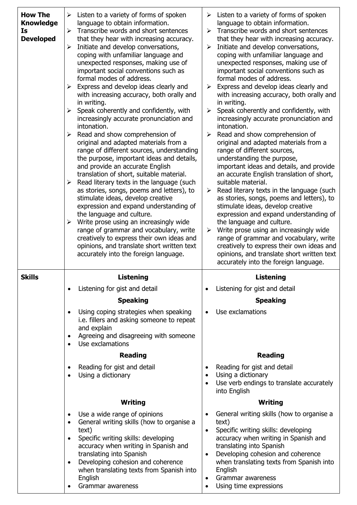| <b>How The</b><br><b>Knowledge</b><br><b>Is</b><br><b>Developed</b> | Listen to a variety of forms of spoken<br>➤<br>language to obtain information.<br>Transcribe words and short sentences<br>$\blacktriangleright$<br>that they hear with increasing accuracy.<br>Initiate and develop conversations,<br>≻<br>coping with unfamiliar language and<br>unexpected responses, making use of<br>important social conventions such as<br>formal modes of address.<br>Express and develop ideas clearly and<br>$\blacktriangleright$<br>with increasing accuracy, both orally and<br>in writing.<br>Speak coherently and confidently, with<br>$\blacktriangleright$<br>increasingly accurate pronunciation and<br>intonation.<br>Read and show comprehension of<br>➤<br>original and adapted materials from a<br>range of different sources, understanding<br>the purpose, important ideas and details,<br>and provide an accurate English<br>translation of short, suitable material.<br>Read literary texts in the language (such<br>$\blacktriangleright$<br>as stories, songs, poems and letters), to<br>stimulate ideas, develop creative<br>expression and expand understanding of<br>the language and culture.<br>Write prose using an increasingly wide<br>$\blacktriangleright$<br>range of grammar and vocabulary, write<br>creatively to express their own ideas and<br>opinions, and translate short written text<br>accurately into the foreign language. | Listen to a variety of forms of spoken<br>➤<br>language to obtain information.<br>Transcribe words and short sentences<br>➤<br>that they hear with increasing accuracy.<br>Initiate and develop conversations,<br>$\blacktriangleright$<br>coping with unfamiliar language and<br>unexpected responses, making use of<br>important social conventions such as<br>formal modes of address.<br>Express and develop ideas clearly and<br>➤<br>with increasing accuracy, both orally and<br>in writing.<br>Speak coherently and confidently, with<br>➤<br>increasingly accurate pronunciation and<br>intonation.<br>Read and show comprehension of<br>➤<br>original and adapted materials from a<br>range of different sources,<br>understanding the purpose,<br>important ideas and details, and provide<br>an accurate English translation of short,<br>suitable material.<br>Read literary texts in the language (such<br>➤<br>as stories, songs, poems and letters), to<br>stimulate ideas, develop creative<br>expression and expand understanding of<br>the language and culture.<br>Write prose using an increasingly wide<br>➤<br>range of grammar and vocabulary, write<br>creatively to express their own ideas and<br>opinions, and translate short written text<br>accurately into the foreign language. |
|---------------------------------------------------------------------|-----------------------------------------------------------------------------------------------------------------------------------------------------------------------------------------------------------------------------------------------------------------------------------------------------------------------------------------------------------------------------------------------------------------------------------------------------------------------------------------------------------------------------------------------------------------------------------------------------------------------------------------------------------------------------------------------------------------------------------------------------------------------------------------------------------------------------------------------------------------------------------------------------------------------------------------------------------------------------------------------------------------------------------------------------------------------------------------------------------------------------------------------------------------------------------------------------------------------------------------------------------------------------------------------------------------------------------------------------------------------------------------------|------------------------------------------------------------------------------------------------------------------------------------------------------------------------------------------------------------------------------------------------------------------------------------------------------------------------------------------------------------------------------------------------------------------------------------------------------------------------------------------------------------------------------------------------------------------------------------------------------------------------------------------------------------------------------------------------------------------------------------------------------------------------------------------------------------------------------------------------------------------------------------------------------------------------------------------------------------------------------------------------------------------------------------------------------------------------------------------------------------------------------------------------------------------------------------------------------------------------------------------------------------------------------------------------------------------|
| <b>Skills</b>                                                       | Listening                                                                                                                                                                                                                                                                                                                                                                                                                                                                                                                                                                                                                                                                                                                                                                                                                                                                                                                                                                                                                                                                                                                                                                                                                                                                                                                                                                                     | <b>Listening</b>                                                                                                                                                                                                                                                                                                                                                                                                                                                                                                                                                                                                                                                                                                                                                                                                                                                                                                                                                                                                                                                                                                                                                                                                                                                                                                 |
|                                                                     | Listening for gist and detail<br>$\bullet$                                                                                                                                                                                                                                                                                                                                                                                                                                                                                                                                                                                                                                                                                                                                                                                                                                                                                                                                                                                                                                                                                                                                                                                                                                                                                                                                                    | Listening for gist and detail<br>$\bullet$                                                                                                                                                                                                                                                                                                                                                                                                                                                                                                                                                                                                                                                                                                                                                                                                                                                                                                                                                                                                                                                                                                                                                                                                                                                                       |
|                                                                     | <b>Speaking</b>                                                                                                                                                                                                                                                                                                                                                                                                                                                                                                                                                                                                                                                                                                                                                                                                                                                                                                                                                                                                                                                                                                                                                                                                                                                                                                                                                                               | <b>Speaking</b>                                                                                                                                                                                                                                                                                                                                                                                                                                                                                                                                                                                                                                                                                                                                                                                                                                                                                                                                                                                                                                                                                                                                                                                                                                                                                                  |
|                                                                     | Using coping strategies when speaking<br>i.e. fillers and asking someone to repeat                                                                                                                                                                                                                                                                                                                                                                                                                                                                                                                                                                                                                                                                                                                                                                                                                                                                                                                                                                                                                                                                                                                                                                                                                                                                                                            | Use exclamations                                                                                                                                                                                                                                                                                                                                                                                                                                                                                                                                                                                                                                                                                                                                                                                                                                                                                                                                                                                                                                                                                                                                                                                                                                                                                                 |
|                                                                     | and explain<br>Agreeing and disagreeing with someone<br>$\bullet$<br>Use exclamations                                                                                                                                                                                                                                                                                                                                                                                                                                                                                                                                                                                                                                                                                                                                                                                                                                                                                                                                                                                                                                                                                                                                                                                                                                                                                                         |                                                                                                                                                                                                                                                                                                                                                                                                                                                                                                                                                                                                                                                                                                                                                                                                                                                                                                                                                                                                                                                                                                                                                                                                                                                                                                                  |
|                                                                     | <b>Reading</b>                                                                                                                                                                                                                                                                                                                                                                                                                                                                                                                                                                                                                                                                                                                                                                                                                                                                                                                                                                                                                                                                                                                                                                                                                                                                                                                                                                                | <b>Reading</b>                                                                                                                                                                                                                                                                                                                                                                                                                                                                                                                                                                                                                                                                                                                                                                                                                                                                                                                                                                                                                                                                                                                                                                                                                                                                                                   |
|                                                                     | Reading for gist and detail<br>Using a dictionary                                                                                                                                                                                                                                                                                                                                                                                                                                                                                                                                                                                                                                                                                                                                                                                                                                                                                                                                                                                                                                                                                                                                                                                                                                                                                                                                             | Reading for gist and detail<br>Using a dictionary<br>Use verb endings to translate accurately<br>into English                                                                                                                                                                                                                                                                                                                                                                                                                                                                                                                                                                                                                                                                                                                                                                                                                                                                                                                                                                                                                                                                                                                                                                                                    |
|                                                                     | <b>Writing</b>                                                                                                                                                                                                                                                                                                                                                                                                                                                                                                                                                                                                                                                                                                                                                                                                                                                                                                                                                                                                                                                                                                                                                                                                                                                                                                                                                                                | Writing                                                                                                                                                                                                                                                                                                                                                                                                                                                                                                                                                                                                                                                                                                                                                                                                                                                                                                                                                                                                                                                                                                                                                                                                                                                                                                          |
|                                                                     | Use a wide range of opinions<br>$\bullet$                                                                                                                                                                                                                                                                                                                                                                                                                                                                                                                                                                                                                                                                                                                                                                                                                                                                                                                                                                                                                                                                                                                                                                                                                                                                                                                                                     | General writing skills (how to organise a                                                                                                                                                                                                                                                                                                                                                                                                                                                                                                                                                                                                                                                                                                                                                                                                                                                                                                                                                                                                                                                                                                                                                                                                                                                                        |
|                                                                     | General writing skills (how to organise a<br>text)                                                                                                                                                                                                                                                                                                                                                                                                                                                                                                                                                                                                                                                                                                                                                                                                                                                                                                                                                                                                                                                                                                                                                                                                                                                                                                                                            | text)<br>Specific writing skills: developing<br>$\bullet$                                                                                                                                                                                                                                                                                                                                                                                                                                                                                                                                                                                                                                                                                                                                                                                                                                                                                                                                                                                                                                                                                                                                                                                                                                                        |
|                                                                     | Specific writing skills: developing<br>$\bullet$<br>accuracy when writing in Spanish and                                                                                                                                                                                                                                                                                                                                                                                                                                                                                                                                                                                                                                                                                                                                                                                                                                                                                                                                                                                                                                                                                                                                                                                                                                                                                                      | accuracy when writing in Spanish and<br>translating into Spanish                                                                                                                                                                                                                                                                                                                                                                                                                                                                                                                                                                                                                                                                                                                                                                                                                                                                                                                                                                                                                                                                                                                                                                                                                                                 |
|                                                                     | translating into Spanish<br>Developing cohesion and coherence<br>$\bullet$<br>when translating texts from Spanish into<br>English<br>Grammar awareness                                                                                                                                                                                                                                                                                                                                                                                                                                                                                                                                                                                                                                                                                                                                                                                                                                                                                                                                                                                                                                                                                                                                                                                                                                        | Developing cohesion and coherence<br>when translating texts from Spanish into<br>English<br>Grammar awareness<br>$\bullet$<br>Using time expressions                                                                                                                                                                                                                                                                                                                                                                                                                                                                                                                                                                                                                                                                                                                                                                                                                                                                                                                                                                                                                                                                                                                                                             |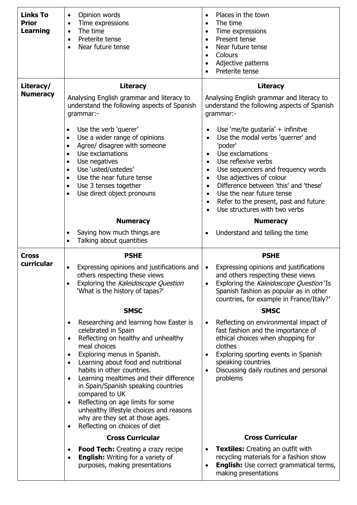| <b>Links To</b><br><b>Prior</b><br><b>Learning</b> | Opinion words<br>$\bullet$<br>Time expressions<br>$\bullet$<br>The time<br>$\bullet$<br>Preterite tense<br>$\bullet$<br>Near future tense<br>$\bullet$                                                                                                                                                                                                                                                                                                                                                                                                                        | Places in the town<br>$\bullet$<br>The time<br>$\bullet$<br>Time expressions<br>$\bullet$<br>Present tense<br>$\bullet$<br>Near future tense<br>$\bullet$<br>Colours<br>$\bullet$<br>Adjective patterns<br>$\bullet$<br>Preterite tense                                                                                                                                                                                                                                                                 |
|----------------------------------------------------|-------------------------------------------------------------------------------------------------------------------------------------------------------------------------------------------------------------------------------------------------------------------------------------------------------------------------------------------------------------------------------------------------------------------------------------------------------------------------------------------------------------------------------------------------------------------------------|---------------------------------------------------------------------------------------------------------------------------------------------------------------------------------------------------------------------------------------------------------------------------------------------------------------------------------------------------------------------------------------------------------------------------------------------------------------------------------------------------------|
| Literacy/<br><b>Numeracy</b>                       | <b>Literacy</b><br>Analysing English grammar and literacy to<br>understand the following aspects of Spanish<br>grammar:-<br>Use the verb 'querer'<br>$\bullet$<br>Use a wider range of opinions<br>$\bullet$<br>Agree/ disagree with someone<br>$\bullet$<br>Use exclamations<br>$\bullet$<br>Use negatives<br>$\bullet$<br>Use 'usted/ustedes'<br>$\bullet$<br>Use the near future tense<br>$\bullet$<br>Use 3 tenses together<br>$\bullet$<br>Use direct object pronouns<br>$\bullet$                                                                                       | <b>Literacy</b><br>Analysing English grammar and literacy to<br>understand the following aspects of Spanish<br>grammar:-<br>Use 'me/te gustaría' + infinitve<br>$\bullet$<br>Use the modal verbs 'querrer' and<br>$\bullet$<br>'poder'<br>Use exclamations<br>$\bullet$<br>Use reflexive verbs<br>$\bullet$<br>Use sequencers and frequency words<br>$\bullet$<br>Use adjectives of colour<br>$\bullet$<br>Difference between 'this' and 'these'<br>$\bullet$<br>Use the near future tense<br>$\bullet$ |
|                                                    | <b>Numeracy</b><br>Saying how much things are<br>$\bullet$<br>Talking about quantities<br>$\bullet$                                                                                                                                                                                                                                                                                                                                                                                                                                                                           | Refer to the present, past and future<br>$\bullet$<br>Use structures with two verbs<br>$\bullet$<br><b>Numeracy</b><br>Understand and telling the time<br>$\bullet$                                                                                                                                                                                                                                                                                                                                     |
|                                                    |                                                                                                                                                                                                                                                                                                                                                                                                                                                                                                                                                                               |                                                                                                                                                                                                                                                                                                                                                                                                                                                                                                         |
| <b>Cross</b><br>curricular                         | <b>PSHE</b><br>Expressing opinions and justifications and<br>others respecting these views<br>Exploring the Kaleidoscope Question<br>$\bullet$<br>'What is the history of tapas?'                                                                                                                                                                                                                                                                                                                                                                                             | <b>PSHE</b><br>Expressing opinions and justifications<br>$\bullet$<br>and others respecting these views<br>Exploring the Kaleidoscope Question 'Is<br>Spanish fashion as popular as in other<br>countries, for example in France/Italy?'                                                                                                                                                                                                                                                                |
|                                                    | <b>SMSC</b><br>Researching and learning how Easter is<br>$\bullet$<br>celebrated in Spain<br>Reflecting on healthy and unhealthy<br>$\bullet$<br>meal choices<br>Exploring menus in Spanish.<br>$\bullet$<br>Learning about food and nutritional<br>$\bullet$<br>habits in other countries.<br>Learning mealtimes and their difference<br>in Spain/Spanish speaking countries<br>compared to UK<br>Reflecting on age limits for some<br>$\bullet$<br>unhealthy lifestyle choices and reasons<br>why are they set at those ages.<br>Reflecting on choices of diet<br>$\bullet$ | <b>SMSC</b><br>Reflecting on environmental impact of<br>$\bullet$<br>fast fashion and the importance of<br>ethical choices when shopping for<br>clothes<br>Exploring sporting events in Spanish<br>$\bullet$<br>speaking countries<br>Discussing daily routines and personal<br>$\bullet$<br>problems                                                                                                                                                                                                   |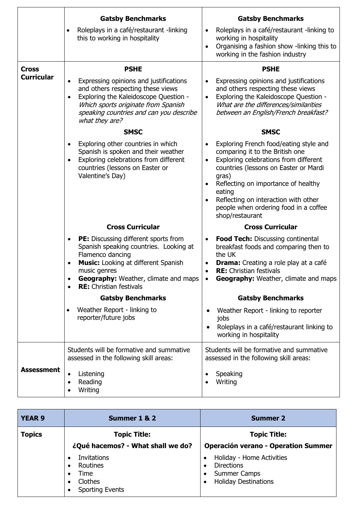|                   | <b>Gatsby Benchmarks</b>                                                                                                                                                                                                                                       | <b>Gatsby Benchmarks</b>                                                                                                                                                                                                                                                                                                                                         |
|-------------------|----------------------------------------------------------------------------------------------------------------------------------------------------------------------------------------------------------------------------------------------------------------|------------------------------------------------------------------------------------------------------------------------------------------------------------------------------------------------------------------------------------------------------------------------------------------------------------------------------------------------------------------|
|                   | Roleplays in a café/restaurant -linking<br>$\bullet$<br>this to working in hospitality                                                                                                                                                                         | Roleplays in a café/restaurant -linking to<br>$\bullet$<br>working in hospitality<br>Organising a fashion show -linking this to<br>$\bullet$<br>working in the fashion industry                                                                                                                                                                                  |
| <b>Cross</b>      | <b>PSHE</b>                                                                                                                                                                                                                                                    | <b>PSHE</b>                                                                                                                                                                                                                                                                                                                                                      |
| <b>Curricular</b> | Expressing opinions and justifications<br>and others respecting these views<br>Exploring the Kaleidoscope Question -<br>Which sports originate from Spanish<br>speaking countries and can you describe<br>what they are?                                       | Expressing opinions and justifications<br>$\bullet$<br>and others respecting these views<br>Exploring the Kaleidoscope Question -<br>$\bullet$<br>What are the differences/similarities<br>between an English/French breakfast?                                                                                                                                  |
|                   | <b>SMSC</b>                                                                                                                                                                                                                                                    | <b>SMSC</b>                                                                                                                                                                                                                                                                                                                                                      |
|                   | Exploring other countries in which<br>Spanish is spoken and their weather<br>Exploring celebrations from different<br>$\bullet$<br>countries (lessons on Easter or<br>Valentine's Day)                                                                         | Exploring French food/eating style and<br>comparing it to the British one<br>Exploring celebrations from different<br>$\bullet$<br>countries (lessons on Easter or Mardi<br>gras)<br>Reflecting on importance of healthy<br>$\bullet$<br>eating<br>Reflecting on interaction with other<br>$\bullet$<br>people when ordering food in a coffee<br>shop/restaurant |
|                   | <b>Cross Curricular</b>                                                                                                                                                                                                                                        | <b>Cross Curricular</b>                                                                                                                                                                                                                                                                                                                                          |
|                   | PE: Discussing different sports from<br>$\bullet$<br>Spanish speaking countries. Looking at<br>Flamenco dancing<br><b>Music:</b> Looking at different Spanish<br>music genres<br><b>Geography:</b> Weather, climate and maps<br><b>RE:</b> Christian festivals | Food Tech: Discussing continental<br>$\bullet$<br>breakfast foods and comparing then to<br>the UK<br><b>Drama:</b> Creating a role play at a café<br><b>RE:</b> Christian festivals<br><b>Geography:</b> Weather, climate and maps<br>$\bullet$                                                                                                                  |
|                   | <b>Gatsby Benchmarks</b>                                                                                                                                                                                                                                       | <b>Gatsby Benchmarks</b>                                                                                                                                                                                                                                                                                                                                         |
|                   | Weather Report - linking to<br>$\bullet$<br>reporter/future jobs                                                                                                                                                                                               | Weather Report - linking to reporter<br>jobs<br>Roleplays in a café/restaurant linking to<br>working in hospitality                                                                                                                                                                                                                                              |
|                   | Students will be formative and summative<br>assessed in the following skill areas:                                                                                                                                                                             | Students will be formative and summative<br>assessed in the following skill areas:                                                                                                                                                                                                                                                                               |
| <b>Assessment</b> | Listening<br>Reading<br>Writing                                                                                                                                                                                                                                | Speaking<br>Writing                                                                                                                                                                                                                                                                                                                                              |

| <b>YEAR 9</b> | Summer 1 & 2                                                                | <b>Summer 2</b>                                                                                                   |
|---------------|-----------------------------------------------------------------------------|-------------------------------------------------------------------------------------------------------------------|
| <b>Topics</b> | <b>Topic Title:</b><br>¿Qué hacemos? - What shall we do?                    | <b>Topic Title:</b><br><b>Operación verano - Operation Summer</b>                                                 |
|               | <b>Invitations</b><br>Routines<br>Time<br>Clothes<br><b>Sporting Events</b> | Holiday - Home Activities<br><b>Directions</b><br>$\bullet$<br><b>Summer Camps</b><br><b>Holiday Destinations</b> |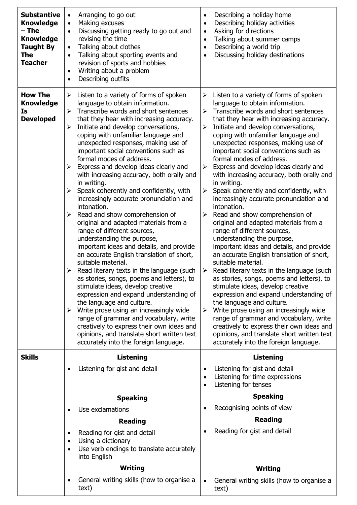| <b>Substantive</b><br><b>Knowledge</b><br>– The<br><b>Knowledge</b><br><b>Taught By</b><br>The<br><b>Teacher</b> | Arranging to go out<br>$\bullet$<br>Making excuses<br>$\bullet$<br>Discussing getting ready to go out and<br>revising the time<br>Talking about clothes<br>$\bullet$<br>Talking about sporting events and<br>$\bullet$<br>revision of sports and hobbies<br>Writing about a problem<br>٠<br>Describing outfits                                                                                                                                                                                                                                                                                                                                                                                                                                                                                                                                                                                                                                                                                                                                                                                                                                                                                                                                                                                                          | Describing a holiday home<br>$\bullet$<br>Describing holiday activities<br>$\bullet$<br>Asking for directions<br>$\bullet$<br>Talking about summer camps<br>$\bullet$<br>Describing a world trip<br>$\bullet$<br>Discussing holiday destinations<br>$\bullet$                                                                                                                                                                                                                                                                                                                                                                                                                                                                                                                                                                                                                                                                                                                                                                                                                                                                                                                                                                                                                                                                                                                                    |
|------------------------------------------------------------------------------------------------------------------|-------------------------------------------------------------------------------------------------------------------------------------------------------------------------------------------------------------------------------------------------------------------------------------------------------------------------------------------------------------------------------------------------------------------------------------------------------------------------------------------------------------------------------------------------------------------------------------------------------------------------------------------------------------------------------------------------------------------------------------------------------------------------------------------------------------------------------------------------------------------------------------------------------------------------------------------------------------------------------------------------------------------------------------------------------------------------------------------------------------------------------------------------------------------------------------------------------------------------------------------------------------------------------------------------------------------------|--------------------------------------------------------------------------------------------------------------------------------------------------------------------------------------------------------------------------------------------------------------------------------------------------------------------------------------------------------------------------------------------------------------------------------------------------------------------------------------------------------------------------------------------------------------------------------------------------------------------------------------------------------------------------------------------------------------------------------------------------------------------------------------------------------------------------------------------------------------------------------------------------------------------------------------------------------------------------------------------------------------------------------------------------------------------------------------------------------------------------------------------------------------------------------------------------------------------------------------------------------------------------------------------------------------------------------------------------------------------------------------------------|
| <b>How The</b><br><b>Knowledge</b><br>Is<br><b>Developed</b>                                                     | Listen to a variety of forms of spoken<br>$\blacktriangleright$<br>language to obtain information.<br>Transcribe words and short sentences<br>➤<br>that they hear with increasing accuracy.<br>Initiate and develop conversations,<br>➤<br>coping with unfamiliar language and<br>unexpected responses, making use of<br>important social conventions such as<br>formal modes of address.<br>Express and develop ideas clearly and<br>≻<br>with increasing accuracy, both orally and<br>in writing.<br>Speak coherently and confidently, with<br>➤<br>increasingly accurate pronunciation and<br>intonation.<br>Read and show comprehension of<br>original and adapted materials from a<br>range of different sources,<br>understanding the purpose,<br>important ideas and details, and provide<br>an accurate English translation of short,<br>suitable material.<br>$\triangleright$ Read literary texts in the language (such<br>as stories, songs, poems and letters), to<br>stimulate ideas, develop creative<br>expression and expand understanding of<br>the language and culture.<br>Write prose using an increasingly wide<br>➤<br>range of grammar and vocabulary, write<br>creatively to express their own ideas and<br>opinions, and translate short written text<br>accurately into the foreign language. | Listen to a variety of forms of spoken<br>$\blacktriangleright$<br>language to obtain information.<br>Transcribe words and short sentences<br>$\blacktriangleright$<br>that they hear with increasing accuracy.<br>Initiate and develop conversations,<br>$\blacktriangleright$<br>coping with unfamiliar language and<br>unexpected responses, making use of<br>important social conventions such as<br>formal modes of address.<br>Express and develop ideas clearly and<br>$\blacktriangleright$<br>with increasing accuracy, both orally and<br>in writing.<br>Speak coherently and confidently, with<br>➤<br>increasingly accurate pronunciation and<br>intonation.<br>Read and show comprehension of<br>$\blacktriangleright$<br>original and adapted materials from a<br>range of different sources,<br>understanding the purpose,<br>important ideas and details, and provide<br>an accurate English translation of short,<br>suitable material.<br>Read literary texts in the language (such<br>➤<br>as stories, songs, poems and letters), to<br>stimulate ideas, develop creative<br>expression and expand understanding of<br>the language and culture.<br>Write prose using an increasingly wide<br>➤<br>range of grammar and vocabulary, write<br>creatively to express their own ideas and<br>opinions, and translate short written text<br>accurately into the foreign language. |
| <b>Skills</b>                                                                                                    | <b>Listening</b>                                                                                                                                                                                                                                                                                                                                                                                                                                                                                                                                                                                                                                                                                                                                                                                                                                                                                                                                                                                                                                                                                                                                                                                                                                                                                                        | <b>Listening</b>                                                                                                                                                                                                                                                                                                                                                                                                                                                                                                                                                                                                                                                                                                                                                                                                                                                                                                                                                                                                                                                                                                                                                                                                                                                                                                                                                                                 |
|                                                                                                                  | Listening for gist and detail                                                                                                                                                                                                                                                                                                                                                                                                                                                                                                                                                                                                                                                                                                                                                                                                                                                                                                                                                                                                                                                                                                                                                                                                                                                                                           | Listening for gist and detail<br>Listening for time expressions<br>Listening for tenses<br>$\bullet$                                                                                                                                                                                                                                                                                                                                                                                                                                                                                                                                                                                                                                                                                                                                                                                                                                                                                                                                                                                                                                                                                                                                                                                                                                                                                             |
|                                                                                                                  | <b>Speaking</b>                                                                                                                                                                                                                                                                                                                                                                                                                                                                                                                                                                                                                                                                                                                                                                                                                                                                                                                                                                                                                                                                                                                                                                                                                                                                                                         | <b>Speaking</b>                                                                                                                                                                                                                                                                                                                                                                                                                                                                                                                                                                                                                                                                                                                                                                                                                                                                                                                                                                                                                                                                                                                                                                                                                                                                                                                                                                                  |
|                                                                                                                  | Use exclamations                                                                                                                                                                                                                                                                                                                                                                                                                                                                                                                                                                                                                                                                                                                                                                                                                                                                                                                                                                                                                                                                                                                                                                                                                                                                                                        | Recognising points of view<br>$\bullet$                                                                                                                                                                                                                                                                                                                                                                                                                                                                                                                                                                                                                                                                                                                                                                                                                                                                                                                                                                                                                                                                                                                                                                                                                                                                                                                                                          |
|                                                                                                                  | <b>Reading</b>                                                                                                                                                                                                                                                                                                                                                                                                                                                                                                                                                                                                                                                                                                                                                                                                                                                                                                                                                                                                                                                                                                                                                                                                                                                                                                          | <b>Reading</b>                                                                                                                                                                                                                                                                                                                                                                                                                                                                                                                                                                                                                                                                                                                                                                                                                                                                                                                                                                                                                                                                                                                                                                                                                                                                                                                                                                                   |
|                                                                                                                  | Reading for gist and detail<br>٠<br>Using a dictionary<br>$\bullet$<br>Use verb endings to translate accurately<br>into English                                                                                                                                                                                                                                                                                                                                                                                                                                                                                                                                                                                                                                                                                                                                                                                                                                                                                                                                                                                                                                                                                                                                                                                         | Reading for gist and detail                                                                                                                                                                                                                                                                                                                                                                                                                                                                                                                                                                                                                                                                                                                                                                                                                                                                                                                                                                                                                                                                                                                                                                                                                                                                                                                                                                      |
|                                                                                                                  | Writing                                                                                                                                                                                                                                                                                                                                                                                                                                                                                                                                                                                                                                                                                                                                                                                                                                                                                                                                                                                                                                                                                                                                                                                                                                                                                                                 | Writing                                                                                                                                                                                                                                                                                                                                                                                                                                                                                                                                                                                                                                                                                                                                                                                                                                                                                                                                                                                                                                                                                                                                                                                                                                                                                                                                                                                          |
|                                                                                                                  | General writing skills (how to organise a<br>text)                                                                                                                                                                                                                                                                                                                                                                                                                                                                                                                                                                                                                                                                                                                                                                                                                                                                                                                                                                                                                                                                                                                                                                                                                                                                      | General writing skills (how to organise a<br>$\bullet$<br>text)                                                                                                                                                                                                                                                                                                                                                                                                                                                                                                                                                                                                                                                                                                                                                                                                                                                                                                                                                                                                                                                                                                                                                                                                                                                                                                                                  |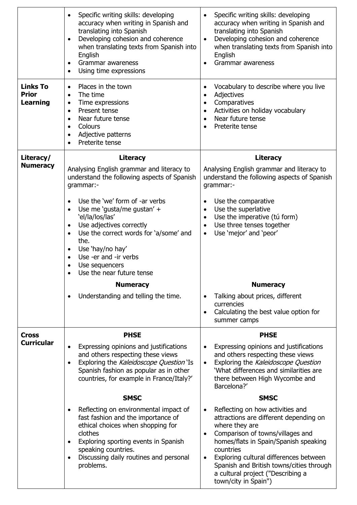|                                                    | Specific writing skills: developing<br>accuracy when writing in Spanish and<br>translating into Spanish<br>Developing cohesion and coherence<br>$\bullet$<br>when translating texts from Spanish into<br>English<br>Grammar awareness<br>$\bullet$<br>Using time expressions<br>$\bullet$                                                                                    | Specific writing skills: developing<br>accuracy when writing in Spanish and<br>translating into Spanish<br>Developing cohesion and coherence<br>$\bullet$<br>when translating texts from Spanish into<br>English<br>Grammar awareness<br>$\bullet$                                                                                                          |
|----------------------------------------------------|------------------------------------------------------------------------------------------------------------------------------------------------------------------------------------------------------------------------------------------------------------------------------------------------------------------------------------------------------------------------------|-------------------------------------------------------------------------------------------------------------------------------------------------------------------------------------------------------------------------------------------------------------------------------------------------------------------------------------------------------------|
| <b>Links To</b><br><b>Prior</b><br><b>Learning</b> | Places in the town<br>$\bullet$<br>The time<br>Time expressions<br>$\bullet$<br>Present tense<br>$\bullet$<br>Near future tense<br>$\bullet$<br>Colours<br>$\bullet$<br>Adjective patterns<br>٠<br>Preterite tense                                                                                                                                                           | Vocabulary to describe where you live<br>٠<br>Adjectives<br>$\bullet$<br>Comparatives<br>$\bullet$<br>Activities on holiday vocabulary<br>$\bullet$<br>Near future tense<br>$\bullet$<br>Preterite tense                                                                                                                                                    |
| Literacy/<br><b>Numeracy</b>                       | <b>Literacy</b><br>Analysing English grammar and literacy to<br>understand the following aspects of Spanish<br>grammar:-                                                                                                                                                                                                                                                     | <b>Literacy</b><br>Analysing English grammar and literacy to<br>understand the following aspects of Spanish<br>grammar:-                                                                                                                                                                                                                                    |
|                                                    | Use the 'we' form of -ar verbs<br>$\bullet$<br>Use me 'gusta/me gustan' +<br>$\bullet$<br>'el/la/los/las'<br>Use adjectives correctly<br>$\bullet$<br>Use the correct words for 'a/some' and<br>$\bullet$<br>the.<br>Use 'hay/no hay'<br>$\bullet$<br>Use -er and -ir verbs<br>$\bullet$<br>Use sequencers<br>$\bullet$<br>Use the near future tense<br>٠<br><b>Numeracy</b> | Use the comparative<br>$\bullet$<br>Use the superlative<br>$\bullet$<br>Use the imperative (tú form)<br>٠<br>Use three tenses together<br>$\bullet$<br>Use 'mejor' and 'peor'<br>$\bullet$<br><b>Numeracy</b>                                                                                                                                               |
|                                                    | Understanding and telling the time.                                                                                                                                                                                                                                                                                                                                          | Talking about prices, different<br>$\bullet$<br>currencies<br>Calculating the best value option for<br>$\bullet$<br>summer camps                                                                                                                                                                                                                            |
| <b>Cross</b><br><b>Curricular</b>                  | <b>PHSE</b><br>Expressing opinions and justifications<br>and others respecting these views<br>Exploring the Kaleidoscope Question 'Is<br>$\bullet$<br>Spanish fashion as popular as in other<br>countries, for example in France/Italy?'                                                                                                                                     | <b>PHSE</b><br>Expressing opinions and justifications<br>$\bullet$<br>and others respecting these views<br>Exploring the Kaleidoscope Question<br>$\bullet$<br>'What differences and similarities are<br>there between High Wycombe and<br>Barcelona?'                                                                                                      |
|                                                    | <b>SMSC</b>                                                                                                                                                                                                                                                                                                                                                                  | <b>SMSC</b>                                                                                                                                                                                                                                                                                                                                                 |
|                                                    | Reflecting on environmental impact of<br>fast fashion and the importance of<br>ethical choices when shopping for<br>clothes<br>Exploring sporting events in Spanish<br>$\bullet$<br>speaking countries.<br>Discussing daily routines and personal<br>problems.                                                                                                               | Reflecting on how activities and<br>attractions are different depending on<br>where they are<br>Comparison of towns/villages and<br>$\bullet$<br>homes/flats in Spain/Spanish speaking<br>countries<br>Exploring cultural differences between<br>٠<br>Spanish and British towns/cities through<br>a cultural project ("Describing a<br>town/city in Spain") |